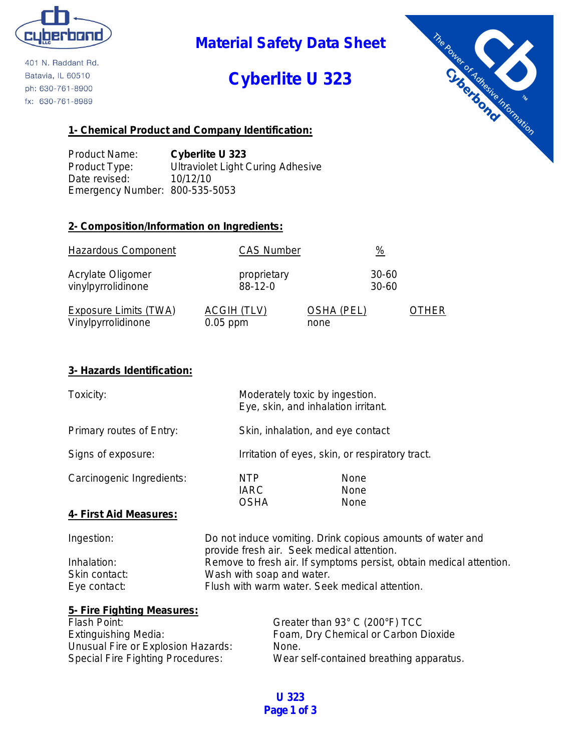

401 N. Raddant Rd. Batavia, IL 60510 ph: 630-761-8900 fx: 630-761-8989

## **Material Safety Data Sheet**

## **Cyberlite U 323**



#### **1- Chemical Product and Company Identification:**

Product Name: **Cyberlite U 323** Product Type: Ultraviolet Light Curing Adhesive Date revised: 10/12/10 Emergency Number: 800-535-5053

#### **2- Composition/Information on Ingredients:**

| <b>Hazardous Component</b>   | <b>CAS Number</b>  | $\frac{0}{2}$     |      |
|------------------------------|--------------------|-------------------|------|
| Acrylate Oligomer            | proprietary        | 30-60             |      |
| vinylpyrrolidinone           | $88-12-0$          | $30 - 60$         |      |
| <b>Exposure Limits (TWA)</b> | <b>ACGIH (TLV)</b> | <b>OSHA (PEL)</b> | THER |
| Vinylpyrrolidinone           | $0.05$ ppm         | none              |      |

#### **3- Hazards Identification:**

| Toxicity:                 |                                                                                                          | Moderately toxic by ingestion.<br>Eye, skin, and inhalation irritant. |
|---------------------------|----------------------------------------------------------------------------------------------------------|-----------------------------------------------------------------------|
| Primary routes of Entry:  |                                                                                                          | Skin, inhalation, and eye contact                                     |
| Signs of exposure:        |                                                                                                          | Irritation of eyes, skin, or respiratory tract.                       |
| Carcinogenic Ingredients: | NTP<br><b>IARC</b><br><b>OSHA</b>                                                                        | None<br><b>None</b><br><b>None</b>                                    |
| 4- First Aid Measures:    |                                                                                                          |                                                                       |
| Ingestion:                | Do not induce vomiting. Drink copious amounts of water and<br>provide fresh air. Seek medical attention. |                                                                       |
| Inhalation:               | Remove to fresh air. If symptoms persist, obtain medical attention.                                      |                                                                       |

| 11 11 1 a 1 a 1 1 0 1 1 . | <b>INCITIOVE to ITESIT AIL. IT SYTTPIOTIS PETSIST, ODIAILLE</b> |
|---------------------------|-----------------------------------------------------------------|
| Skin contact:             | Wash with soap and water.                                       |
| Eye contact:              | Flush with warm water. Seek medical attention.                  |
|                           |                                                                 |

| 5- Fire Fighting Measures:               |                                          |
|------------------------------------------|------------------------------------------|
| Flash Point:                             | Greater than 93° C (200°F) TCC           |
| <b>Extinguishing Media:</b>              | Foam, Dry Chemical or Carbon Dioxide     |
| Unusual Fire or Explosion Hazards:       | None.                                    |
| <b>Special Fire Fighting Procedures:</b> | Wear self-contained breathing apparatus. |

**U 323 Page 1 of 3**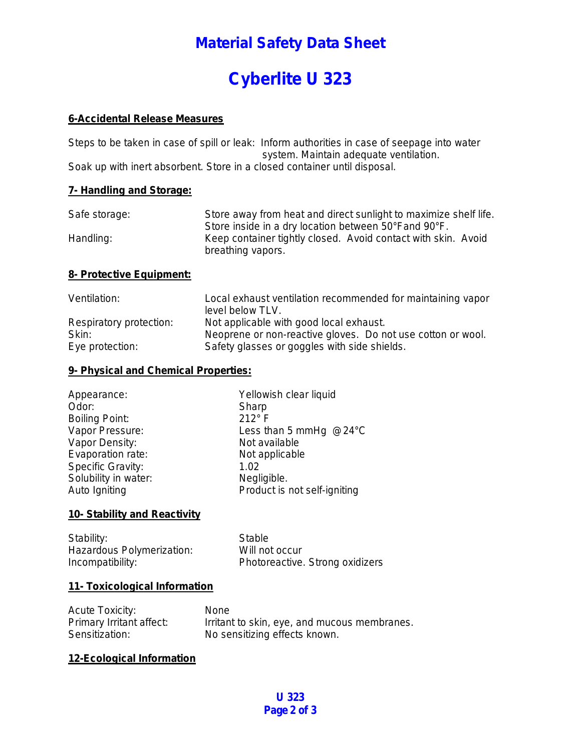## **Material Safety Data Sheet**

# **Cyberlite U 323**

#### **6-Accidental Release Measures**

Steps to be taken in case of spill or leak: Inform authorities in case of seepage into water system. Maintain adequate ventilation. Soak up with inert absorbent. Store in a closed container until disposal.

#### **7- Handling and Storage:**

| Safe storage: | Store away from heat and direct sunlight to maximize shelf life. |
|---------------|------------------------------------------------------------------|
|               | Store inside in a dry location between 50°Fand 90°F.             |
| Handling:     | Keep container tightly closed. Avoid contact with skin. Avoid    |
|               | breathing vapors.                                                |

#### **8- Protective Equipment:**

| Ventilation:            | Local exhaust ventilation recommended for maintaining vapor |
|-------------------------|-------------------------------------------------------------|
|                         | level below TLV.                                            |
| Respiratory protection: | Not applicable with good local exhaust.                     |
| Skin:                   | Neoprene or non-reactive gloves. Do not use cotton or wool. |
| Eye protection:         | Safety glasses or goggles with side shields.                |

#### **9- Physical and Chemical Properties:**

| Appearance:           | Yellowish clear liquid           |
|-----------------------|----------------------------------|
| Odor:                 | Sharp                            |
| <b>Boiling Point:</b> | $212^\circ$ F                    |
| Vapor Pressure:       | Less than 5 mmHg $@24^{\circ}$ C |
| Vapor Density:        | Not available                    |
| Evaporation rate:     | Not applicable                   |
| Specific Gravity:     | 1.02                             |
| Solubility in water:  | Negligible.                      |
| Auto Igniting         | Product is not self-igniting     |
|                       |                                  |

#### **10- Stability and Reactivity**

| Stability:                | Stable                          |
|---------------------------|---------------------------------|
| Hazardous Polymerization: | Will not occur                  |
| Incompatibility:          | Photoreactive. Strong oxidizers |

#### **11- Toxicological Information**

| <b>Acute Toxicity:</b>   | <b>None</b>                                  |
|--------------------------|----------------------------------------------|
| Primary Irritant affect: | Irritant to skin, eye, and mucous membranes. |
| Sensitization:           | No sensitizing effects known.                |

#### **12-Ecological Information**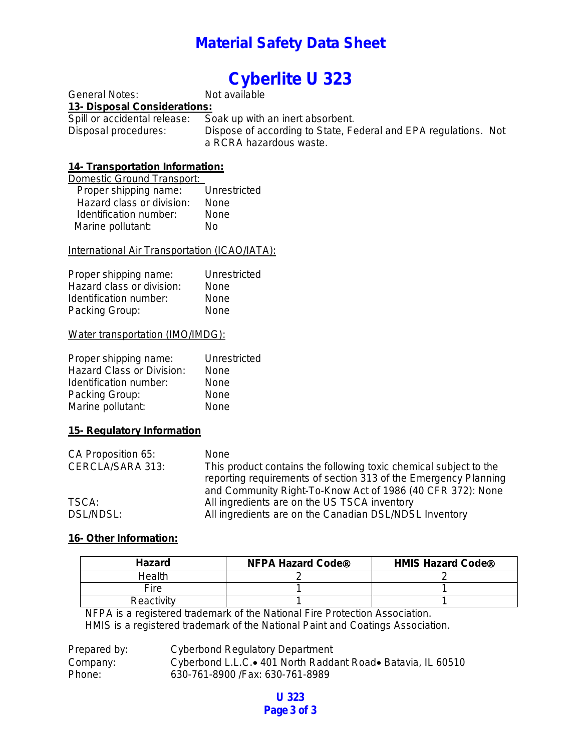### **Material Safety Data Sheet**

# **Cyberlite U 323**<br>Not available

General Notes: **13- Disposal Considerations:** 

Spill or accidental release: Soak up with an inert absorbent.<br>Disposal procedures: Dispose of according to State, Fe Dispose of according to State, Federal and EPA regulations. Not a RCRA hazardous waste.

# **14- Transportation Information:**

| Domestic Ground Transport: |              |
|----------------------------|--------------|
| Proper shipping name:      | Unrestricted |
| Hazard class or division:  | None         |
| Identification number:     | None         |
| Marine pollutant:          | N٥           |

#### International Air Transportation (ICAO/IATA):

| Proper shipping name:     | Unrestricted |
|---------------------------|--------------|
| Hazard class or division: | None         |
| Identification number:    | None         |
| Packing Group:            | None         |

#### Water transportation (IMO/IMDG):

| Proper shipping name:     | Unrestricted |
|---------------------------|--------------|
| Hazard Class or Division: | None         |
| Identification number:    | None         |
| Packing Group:            | None         |
| Marine pollutant:         | None         |

#### **15- Regulatory Information**

| CA Proposition 65: | <b>None</b>                                                       |
|--------------------|-------------------------------------------------------------------|
| CERCLA/SARA 313:   | This product contains the following toxic chemical subject to the |
|                    | reporting requirements of section 313 of the Emergency Planning   |
|                    | and Community Right-To-Know Act of 1986 (40 CFR 372): None        |
| TSCA:              | All ingredients are on the US TSCA inventory                      |
| DSL/NDSL:          | All ingredients are on the Canadian DSL/NDSL Inventory            |

#### **16- Other Information:**

| <b>Hazard</b> | <b>NFPA Hazard Code®</b> | <b>HMIS Hazard Code®</b> |
|---------------|--------------------------|--------------------------|
| Health        |                          |                          |
| Fire          |                          |                          |
| Reactivity    |                          |                          |

NFPA is a registered trademark of the National Fire Protection Association. HMIS is a registered trademark of the National Paint and Coatings Association.

| Prepared by: | Cyberbond Regulatory Department                               |
|--------------|---------------------------------------------------------------|
| Company:     | Cyberbond L.L.C. • 401 North Raddant Road • Batavia, IL 60510 |
| Phone:       | 630-761-8900 / Fax: 630-761-8989                              |